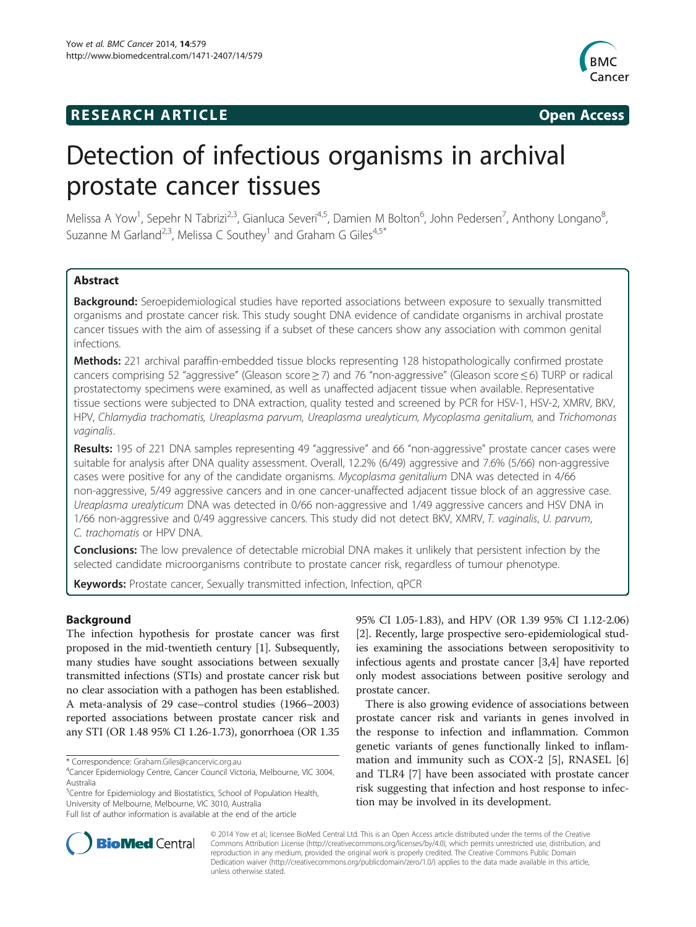## **RESEARCH ARTICLE Example 2014 CONSIDERING CONSIDERING CONSIDERING CONSIDERING CONSIDERING CONSIDERING CONSIDERING CONSIDERING CONSIDERING CONSIDERING CONSIDERING CONSIDERING CONSIDERING CONSIDERING CONSIDERING CONSIDE**



# Detection of infectious organisms in archival prostate cancer tissues

Melissa A Yow<sup>1</sup>, Sepehr N Tabrizi<sup>2,3</sup>, Gianluca Severi<sup>4,5</sup>, Damien M Bolton<sup>6</sup>, John Pedersen<sup>7</sup>, Anthony Longano<sup>8</sup> , Suzanne M Garland<sup>2,3</sup>, Melissa C Southey<sup>1</sup> and Graham G Giles<sup>4,5\*</sup>

## Abstract

Background: Seroepidemiological studies have reported associations between exposure to sexually transmitted organisms and prostate cancer risk. This study sought DNA evidence of candidate organisms in archival prostate cancer tissues with the aim of assessing if a subset of these cancers show any association with common genital infections.

Methods: 221 archival paraffin-embedded tissue blocks representing 128 histopathologically confirmed prostate cancers comprising 52 "aggressive" (Gleason score ≥ 7) and 76 "non-aggressive" (Gleason score ≤ 6) TURP or radical prostatectomy specimens were examined, as well as unaffected adjacent tissue when available. Representative tissue sections were subjected to DNA extraction, quality tested and screened by PCR for HSV-1, HSV-2, XMRV, BKV, HPV, Chlamydia trachomatis, Ureaplasma parvum, Ureaplasma urealyticum, Mycoplasma genitalium, and Trichomonas vaginalis.

Results: 195 of 221 DNA samples representing 49 "aggressive" and 66 "non-aggressive" prostate cancer cases were suitable for analysis after DNA quality assessment. Overall, 12.2% (6/49) aggressive and 7.6% (5/66) non-aggressive cases were positive for any of the candidate organisms. Mycoplasma genitalium DNA was detected in 4/66 non-aggressive, 5/49 aggressive cancers and in one cancer-unaffected adjacent tissue block of an aggressive case. Ureaplasma urealyticum DNA was detected in 0/66 non-aggressive and 1/49 aggressive cancers and HSV DNA in 1/66 non-aggressive and 0/49 aggressive cancers. This study did not detect BKV, XMRV, T. vaginalis, U. parvum, C. trachomatis or HPV DNA.

Conclusions: The low prevalence of detectable microbial DNA makes it unlikely that persistent infection by the selected candidate microorganisms contribute to prostate cancer risk, regardless of tumour phenotype.

Keywords: Prostate cancer, Sexually transmitted infection, Infection, qPCR

## Background

The infection hypothesis for prostate cancer was first proposed in the mid-twentieth century [[1\]](#page-4-0). Subsequently, many studies have sought associations between sexually transmitted infections (STIs) and prostate cancer risk but no clear association with a pathogen has been established. A meta-analysis of 29 case–control studies (1966–2003) reported associations between prostate cancer risk and any STI (OR 1.48 95% CI 1.26-1.73), gonorrhoea (OR 1.35

<sup>5</sup>Centre for Epidemiology and Biostatistics, School of Population Health, University of Melbourne, Melbourne, VIC 3010, Australia

95% CI 1.05-1.83), and HPV (OR 1.39 95% CI 1.12-2.06) [[2\]](#page-4-0). Recently, large prospective sero-epidemiological studies examining the associations between seropositivity to infectious agents and prostate cancer [\[3,4\]](#page-4-0) have reported only modest associations between positive serology and prostate cancer.

There is also growing evidence of associations between prostate cancer risk and variants in genes involved in the response to infection and inflammation. Common genetic variants of genes functionally linked to inflammation and immunity such as COX-2 [\[5](#page-4-0)], RNASEL [\[6](#page-4-0)] and TLR4 [[7\]](#page-4-0) have been associated with prostate cancer risk suggesting that infection and host response to infection may be involved in its development.



© 2014 Yow et al.; licensee BioMed Central Ltd. This is an Open Access article distributed under the terms of the Creative Commons Attribution License [\(http://creativecommons.org/licenses/by/4.0\)](http://creativecommons.org/licenses/by/4.0), which permits unrestricted use, distribution, and reproduction in any medium, provided the original work is properly credited. The Creative Commons Public Domain Dedication waiver [\(http://creativecommons.org/publicdomain/zero/1.0/](http://creativecommons.org/publicdomain/zero/1.0/)) applies to the data made available in this article, unless otherwise stated.

<sup>\*</sup> Correspondence: [Graham.Giles@cancervic.org.au](mailto:Graham.Giles@cancervic.org.au) <sup>4</sup>

<sup>&</sup>lt;sup>4</sup> Cancer Epidemiology Centre, Cancer Council Victoria, Melbourne, VIC 3004, Australia

Full list of author information is available at the end of the article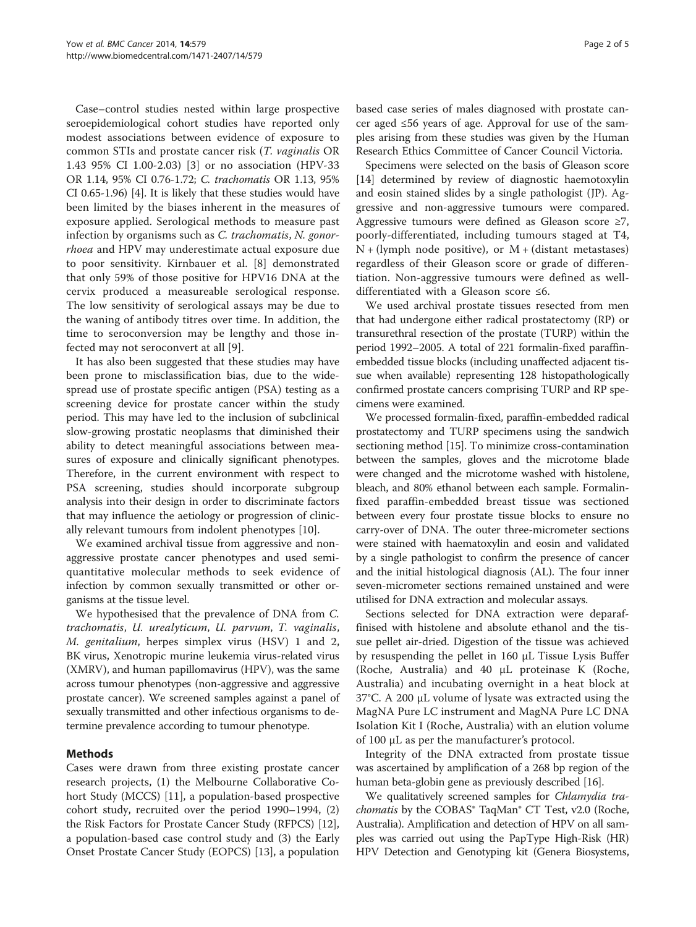Case–control studies nested within large prospective seroepidemiological cohort studies have reported only modest associations between evidence of exposure to common STIs and prostate cancer risk (T. vaginalis OR 1.43 95% CI 1.00-2.03) [[3\]](#page-4-0) or no association (HPV-33 OR 1.14, 95% CI 0.76-1.72; C. trachomatis OR 1.13, 95% CI 0.65-1.96) [\[4](#page-4-0)]. It is likely that these studies would have been limited by the biases inherent in the measures of exposure applied. Serological methods to measure past infection by organisms such as C. trachomatis, N. gonorrhoea and HPV may underestimate actual exposure due to poor sensitivity. Kirnbauer et al. [\[8](#page-4-0)] demonstrated that only 59% of those positive for HPV16 DNA at the cervix produced a measureable serological response. The low sensitivity of serological assays may be due to the waning of antibody titres over time. In addition, the time to seroconversion may be lengthy and those infected may not seroconvert at all [\[9](#page-4-0)].

It has also been suggested that these studies may have been prone to misclassification bias, due to the widespread use of prostate specific antigen (PSA) testing as a screening device for prostate cancer within the study period. This may have led to the inclusion of subclinical slow-growing prostatic neoplasms that diminished their ability to detect meaningful associations between measures of exposure and clinically significant phenotypes. Therefore, in the current environment with respect to PSA screening, studies should incorporate subgroup analysis into their design in order to discriminate factors that may influence the aetiology or progression of clinically relevant tumours from indolent phenotypes [[10](#page-4-0)].

We examined archival tissue from aggressive and nonaggressive prostate cancer phenotypes and used semiquantitative molecular methods to seek evidence of infection by common sexually transmitted or other organisms at the tissue level.

We hypothesised that the prevalence of DNA from C. trachomatis, U. urealyticum, U. parvum, T. vaginalis, M. genitalium, herpes simplex virus (HSV) 1 and 2, BK virus, Xenotropic murine leukemia virus-related virus (XMRV), and human papillomavirus (HPV), was the same across tumour phenotypes (non-aggressive and aggressive prostate cancer). We screened samples against a panel of sexually transmitted and other infectious organisms to determine prevalence according to tumour phenotype.

## Methods

Cases were drawn from three existing prostate cancer research projects, (1) the Melbourne Collaborative Cohort Study (MCCS) [[11\]](#page-4-0), a population-based prospective cohort study, recruited over the period 1990–1994, (2) the Risk Factors for Prostate Cancer Study (RFPCS) [\[12](#page-4-0)], a population-based case control study and (3) the Early Onset Prostate Cancer Study (EOPCS) [\[13\]](#page-4-0), a population based case series of males diagnosed with prostate cancer aged ≤56 years of age. Approval for use of the samples arising from these studies was given by the Human Research Ethics Committee of Cancer Council Victoria.

Specimens were selected on the basis of Gleason score [[14\]](#page-4-0) determined by review of diagnostic haemotoxylin and eosin stained slides by a single pathologist (JP). Aggressive and non-aggressive tumours were compared. Aggressive tumours were defined as Gleason score ≥7, poorly-differentiated, including tumours staged at T4,  $N +$ (lymph node positive), or  $M +$  (distant metastases) regardless of their Gleason score or grade of differentiation. Non-aggressive tumours were defined as welldifferentiated with a Gleason score ≤6.

We used archival prostate tissues resected from men that had undergone either radical prostatectomy (RP) or transurethral resection of the prostate (TURP) within the period 1992–2005. A total of 221 formalin-fixed paraffinembedded tissue blocks (including unaffected adjacent tissue when available) representing 128 histopathologically confirmed prostate cancers comprising TURP and RP specimens were examined.

We processed formalin-fixed, paraffin-embedded radical prostatectomy and TURP specimens using the sandwich sectioning method [[15](#page-4-0)]. To minimize cross-contamination between the samples, gloves and the microtome blade were changed and the microtome washed with histolene, bleach, and 80% ethanol between each sample. Formalinfixed paraffin-embedded breast tissue was sectioned between every four prostate tissue blocks to ensure no carry-over of DNA. The outer three-micrometer sections were stained with haematoxylin and eosin and validated by a single pathologist to confirm the presence of cancer and the initial histological diagnosis (AL). The four inner seven-micrometer sections remained unstained and were utilised for DNA extraction and molecular assays.

Sections selected for DNA extraction were deparaffinised with histolene and absolute ethanol and the tissue pellet air-dried. Digestion of the tissue was achieved by resuspending the pellet in 160 μL Tissue Lysis Buffer (Roche, Australia) and 40 μL proteinase K (Roche, Australia) and incubating overnight in a heat block at 37°C. A 200 μL volume of lysate was extracted using the MagNA Pure LC instrument and MagNA Pure LC DNA Isolation Kit I (Roche, Australia) with an elution volume of 100 μL as per the manufacturer's protocol.

Integrity of the DNA extracted from prostate tissue was ascertained by amplification of a 268 bp region of the human beta-globin gene as previously described [\[16\]](#page-4-0).

We qualitatively screened samples for *Chlamydia tra*chomatis by the COBAS® TaqMan® CT Test, v2.0 (Roche, Australia). Amplification and detection of HPV on all samples was carried out using the PapType High-Risk (HR) HPV Detection and Genotyping kit (Genera Biosystems,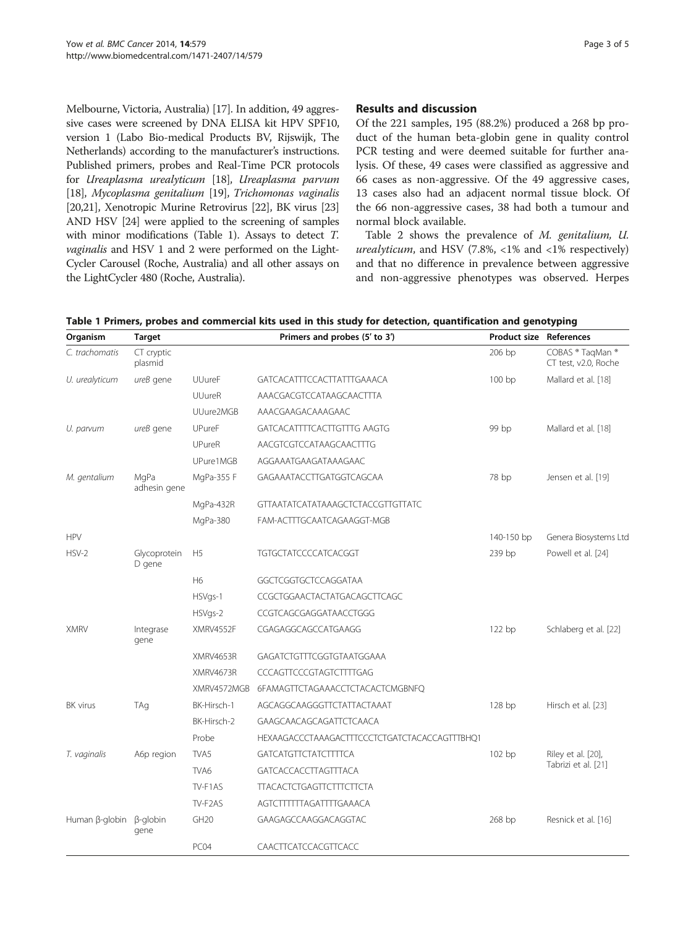Melbourne, Victoria, Australia) [[17](#page-4-0)]. In addition, 49 aggressive cases were screened by DNA ELISA kit HPV SPF10, version 1 (Labo Bio-medical Products BV, Rijswijk, The Netherlands) according to the manufacturer's instructions. Published primers, probes and Real-Time PCR protocols for Ureaplasma urealyticum [\[18\]](#page-4-0), Ureaplasma parvum [[18](#page-4-0)], Mycoplasma genitalium [\[19](#page-4-0)], Trichomonas vaginalis [[20,21\]](#page-4-0), Xenotropic Murine Retrovirus [\[22\]](#page-4-0), BK virus [\[23](#page-4-0)] AND HSV [\[24\]](#page-4-0) were applied to the screening of samples with minor modifications (Table 1). Assays to detect T. vaginalis and HSV 1 and 2 were performed on the Light-Cycler Carousel (Roche, Australia) and all other assays on the LightCycler 480 (Roche, Australia).

## Results and discussion

Of the 221 samples, 195 (88.2%) produced a 268 bp product of the human beta-globin gene in quality control PCR testing and were deemed suitable for further analysis. Of these, 49 cases were classified as aggressive and 66 cases as non-aggressive. Of the 49 aggressive cases, 13 cases also had an adjacent normal tissue block. Of the 66 non-aggressive cases, 38 had both a tumour and normal block available.

Table [2](#page-3-0) shows the prevalence of M. genitalium, U. urealyticum, and HSV (7.8%, <1% and <1% respectively) and that no difference in prevalence between aggressive and non-aggressive phenotypes was observed. Herpes

| Organism        | <b>Target</b>          |                  | Primers and probes (5' to 3')                 | <b>Product size References</b> |                                          |
|-----------------|------------------------|------------------|-----------------------------------------------|--------------------------------|------------------------------------------|
| C. trachomatis  | CT cryptic<br>plasmid  |                  |                                               | $206$ bp                       | COBAS ® TaqMan ®<br>CT test, v2.0, Roche |
| U. urealyticum  | ureB gene              | UUureF           | <b>GATCACATTTCCACTTATTTGAAACA</b>             | 100 bp                         | Mallard et al. [18]                      |
|                 |                        | <b>UUureR</b>    | AAACGACGTCCATAAGCAACTTTA                      |                                |                                          |
|                 |                        | UUure2MGB        | AAACGAAGACAAAGAAC                             |                                |                                          |
| U. parvum       | ureB gene              | UPureF           | GATCACATTTTCACTTGTTTG AAGTG                   | 99 bp                          | Mallard et al. [18]                      |
|                 |                        | <b>UPureR</b>    | AACGTCGTCCATAAGCAACTTTG                       |                                |                                          |
|                 |                        | UPure1MGB        | AGGAAATGAAGATAAAGAAC                          |                                |                                          |
| M. gentalium    | MgPa<br>adhesin gene   | MgPa-355 F       | GAGAAATACCTTGATGGTCAGCAA                      | 78 bp                          | Jensen et al. [19]                       |
|                 |                        | MgPa-432R        | GTTAATATCATATAAAGCTCTACCGTTGTTATC             |                                |                                          |
|                 |                        | MgPa-380         | FAM-ACTTTGCAATCAGAAGGT-MGB                    |                                |                                          |
| <b>HPV</b>      |                        |                  |                                               | 140-150 bp                     | Genera Biosystems Ltc                    |
| $HSV-2$         | Glycoprotein<br>D gene | H <sub>5</sub>   | <b>TGTGCTATCCCCATCACGGT</b>                   | 239 bp                         | Powell et al. [24]                       |
|                 |                        | H <sub>6</sub>   | GGCTCGGTGCTCCAGGATAA                          |                                |                                          |
|                 |                        | HSVgs-1          | CCGCTGGAACTACTATGACAGCTTCAGC                  |                                |                                          |
|                 |                        | HSVgs-2          | CCGTCAGCGAGGATAACCTGGG                        |                                |                                          |
| <b>XMRV</b>     | Integrase<br>gene      | XMRV4552F        | CGAGAGGCAGCCATGAAGG                           | 122 bp                         | Schlaberg et al. [22]                    |
|                 |                        | XMRV4653R        | GAGATCTGTTTCGGTGTAATGGAAA                     |                                |                                          |
|                 |                        | XMRV4673R        | CCCAGTTCCCGTAGTCTTTTGAG                       |                                |                                          |
|                 |                        | XMRV4572MGB      | 6FAMAGTTCTAGAAACCTCTACACTCMGBNFQ              |                                |                                          |
| <b>BK</b> virus | TAg                    | BK-Hirsch-1      | AGCAGGCAAGGGTTCTATTACTAAAT                    | 128 bp                         | Hirsch et al. [23]                       |
|                 |                        | BK-Hirsch-2      | GAAGCAACAGCAGATTCTCAACA                       |                                |                                          |
|                 |                        | Probe            | HEXAAGACCCTAAAGACTTTCCCTCTGATCTACACCAGTTTBHO1 |                                |                                          |
| T. vaginalis    | A6p region             | TVA5             | <b>GATCATGTTCTATCTTTTCA</b>                   | 102 bp                         | Riley et al. [20],                       |
|                 |                        | TVA6             | GATCACCACCTTAGTTTACA                          |                                | Tabrizi et al. [21]                      |
|                 |                        | TV-F1AS          | <b>TTACACTCTGAGTTCTTTCTTCTA</b>               |                                |                                          |
|                 |                        | TV-F2AS          | AGTCTTTTTTAGATTTTGAAACA                       |                                |                                          |
| Human ß-globin  | β-globin<br>gene       | GH <sub>20</sub> | GAAGAGCCAAGGACAGGTAC                          | 268 bp                         | Resnick et al. [16]                      |
|                 |                        | PC <sub>04</sub> | CAACTTCATCCACGTTCACC                          |                                |                                          |

Table 1 Primers, probes and commercial kits used in this study for detection, quantification and genotyping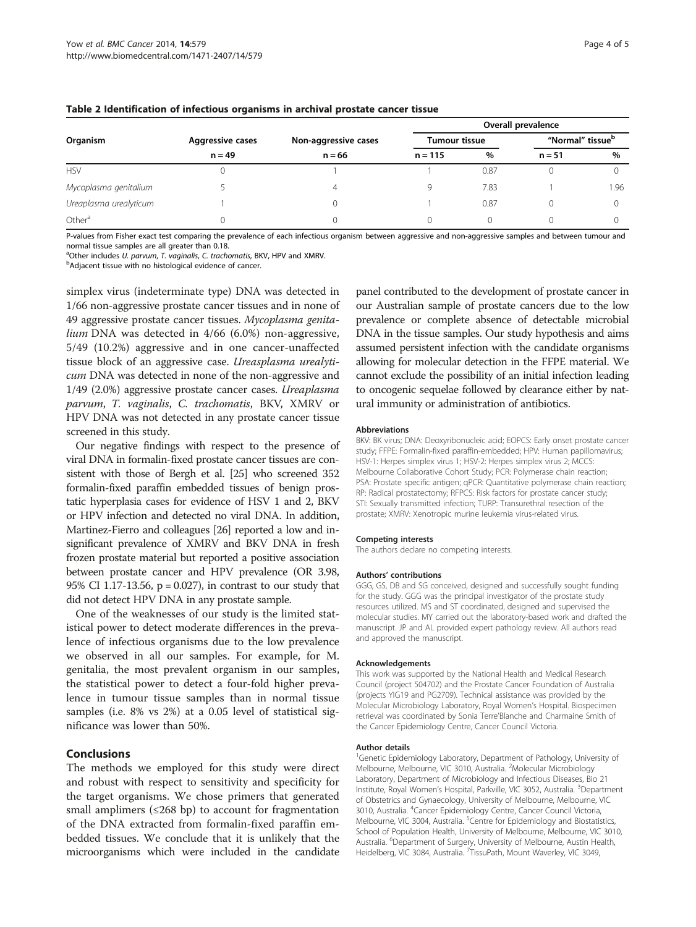|                        | <b>Aggressive cases</b> | Non-aggressive cases | Overall prevalence   |      |                              |      |  |
|------------------------|-------------------------|----------------------|----------------------|------|------------------------------|------|--|
| Organism               |                         |                      | <b>Tumour tissue</b> |      | "Normal" tissue <sup>b</sup> |      |  |
|                        | $n = 49$                | $n = 66$             | $n = 115$            | $\%$ | $n = 51$                     | %    |  |
| <b>HSV</b>             |                         |                      |                      | 0.87 |                              |      |  |
| Mycoplasma genitalium  |                         | Δ                    |                      | 7.83 |                              | 1.96 |  |
| Ureaplasma urealyticum |                         |                      |                      | 0.87 |                              |      |  |
| Other <sup>a</sup>     |                         |                      |                      |      |                              |      |  |

### <span id="page-3-0"></span>Table 2 Identification of infectious organisms in archival prostate cancer tissue

P-values from Fisher exact test comparing the prevalence of each infectious organism between aggressive and non-aggressive samples and between tumour and normal tissue samples are all greater than 0.18.

<sup>a</sup>Other includes *U. parvum, T. vaginalis, C. trachomatis, BKV, HPV and XMRV.*<br><sup>b</sup>Adiacent tissue with no bistological evidence of cancer

<sup>b</sup>Adjacent tissue with no histological evidence of cancer.

simplex virus (indeterminate type) DNA was detected in 1/66 non-aggressive prostate cancer tissues and in none of 49 aggressive prostate cancer tissues. Mycoplasma genitalium DNA was detected in 4/66 (6.0%) non-aggressive, 5/49 (10.2%) aggressive and in one cancer-unaffected tissue block of an aggressive case. Ureasplasma urealyticum DNA was detected in none of the non-aggressive and 1/49 (2.0%) aggressive prostate cancer cases. Ureaplasma parvum, T. vaginalis, C. trachomatis, BKV, XMRV or HPV DNA was not detected in any prostate cancer tissue screened in this study.

Our negative findings with respect to the presence of viral DNA in formalin-fixed prostate cancer tissues are consistent with those of Bergh et al. [[25](#page-4-0)] who screened 352 formalin-fixed paraffin embedded tissues of benign prostatic hyperplasia cases for evidence of HSV 1 and 2, BKV or HPV infection and detected no viral DNA. In addition, Martinez-Fierro and colleagues [\[26\]](#page-4-0) reported a low and insignificant prevalence of XMRV and BKV DNA in fresh frozen prostate material but reported a positive association between prostate cancer and HPV prevalence (OR 3.98, 95% CI 1.17-13.56, p = 0.027), in contrast to our study that did not detect HPV DNA in any prostate sample.

One of the weaknesses of our study is the limited statistical power to detect moderate differences in the prevalence of infectious organisms due to the low prevalence we observed in all our samples. For example, for M. genitalia, the most prevalent organism in our samples, the statistical power to detect a four-fold higher prevalence in tumour tissue samples than in normal tissue samples (i.e. 8% vs 2%) at a 0.05 level of statistical significance was lower than 50%.

## Conclusions

The methods we employed for this study were direct and robust with respect to sensitivity and specificity for the target organisms. We chose primers that generated small amplimers  $(\leq 268$  bp) to account for fragmentation of the DNA extracted from formalin-fixed paraffin embedded tissues. We conclude that it is unlikely that the microorganisms which were included in the candidate

panel contributed to the development of prostate cancer in our Australian sample of prostate cancers due to the low prevalence or complete absence of detectable microbial DNA in the tissue samples. Our study hypothesis and aims assumed persistent infection with the candidate organisms allowing for molecular detection in the FFPE material. We cannot exclude the possibility of an initial infection leading to oncogenic sequelae followed by clearance either by natural immunity or administration of antibiotics.

#### Abbreviations

BKV: BK virus; DNA: Deoxyribonucleic acid; EOPCS: Early onset prostate cancer study; FFPE: Formalin-fixed paraffin-embedded; HPV: Human papillomavirus; HSV-1: Herpes simplex virus 1; HSV-2: Herpes simplex virus 2; MCCS: Melbourne Collaborative Cohort Study; PCR: Polymerase chain reaction; PSA: Prostate specific antigen; qPCR: Quantitative polymerase chain reaction; RP: Radical prostatectomy; RFPCS: Risk factors for prostate cancer study; STI: Sexually transmitted infection; TURP: Transurethral resection of the prostate; XMRV: Xenotropic murine leukemia virus-related virus.

#### Competing interests

The authors declare no competing interests.

#### Authors' contributions

GGG, GS, DB and SG conceived, designed and successfully sought funding for the study. GGG was the principal investigator of the prostate study resources utilized. MS and ST coordinated, designed and supervised the molecular studies. MY carried out the laboratory-based work and drafted the manuscript. JP and AL provided expert pathology review. All authors read and approved the manuscript.

#### Acknowledgements

This work was supported by the National Health and Medical Research Council (project 504702) and the Prostate Cancer Foundation of Australia (projects YIG19 and PG2709). Technical assistance was provided by the Molecular Microbiology Laboratory, Royal Women's Hospital. Biospecimen retrieval was coordinated by Sonia Terre'Blanche and Charmaine Smith of the Cancer Epidemiology Centre, Cancer Council Victoria.

#### Author details

<sup>1</sup>Genetic Epidemiology Laboratory, Department of Pathology, University of Melbourne, Melbourne, VIC 3010, Australia. <sup>2</sup>Molecular Microbiology Laboratory, Department of Microbiology and Infectious Diseases, Bio 21 Institute, Royal Women's Hospital, Parkville, VIC 3052, Australia. <sup>3</sup>Department of Obstetrics and Gynaecology, University of Melbourne, Melbourne, VIC 3010, Australia. <sup>4</sup> Cancer Epidemiology Centre, Cancer Council Victoria, Melbourne, VIC 3004, Australia. <sup>5</sup>Centre for Epidemiology and Biostatistics, School of Population Health, University of Melbourne, Melbourne, VIC 3010, Australia. <sup>6</sup>Department of Surgery, University of Melbourne, Austin Health Heidelberg, VIC 3084, Australia. 7TissuPath, Mount Waverley, VIC 3049,